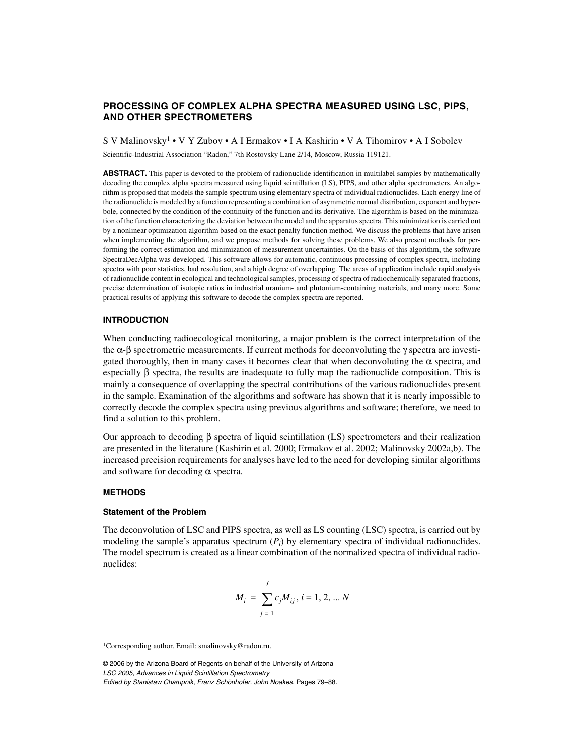# **PROCESSING OF COMPLEX ALPHA SPECTRA MEASURED USING LSC, PIPS, AND OTHER SPECTROMETERS**

S V Malinovsky1 • V Y Zubov • A I Ermakov • I A Kashirin • V A Tihomirov • A I Sobolev

Scientific-Industrial Association "Radon," 7th Rostovsky Lane 2/14, Moscow, Russia 119121.

**ABSTRACT.** This paper is devoted to the problem of radionuclide identification in multilabel samples by mathematically decoding the complex alpha spectra measured using liquid scintillation (LS), PIPS, and other alpha spectrometers. An algorithm is proposed that models the sample spectrum using elementary spectra of individual radionuclides. Each energy line of the radionuclide is modeled by a function representing a combination of asymmetric normal distribution, exponent and hyperbole, connected by the condition of the continuity of the function and its derivative. The algorithm is based on the minimization of the function characterizing the deviation between the model and the apparatus spectra. This minimization is carried out by a nonlinear optimization algorithm based on the exact penalty function method. We discuss the problems that have arisen when implementing the algorithm, and we propose methods for solving these problems. We also present methods for performing the correct estimation and minimization of measurement uncertainties. On the basis of this algorithm, the software SpectraDecAlpha was developed. This software allows for automatic, continuous processing of complex spectra, including spectra with poor statistics, bad resolution, and a high degree of overlapping. The areas of application include rapid analysis of radionuclide content in ecological and technological samples, processing of spectra of radiochemically separated fractions, precise determination of isotopic ratios in industrial uranium- and plutonium-containing materials, and many more. Some practical results of applying this software to decode the complex spectra are reported.

## **INTRODUCTION**

When conducting radioecological monitoring, a major problem is the correct interpretation of the the  $\alpha$ -β spectrometric measurements. If current methods for deconvoluting the  $\gamma$  spectra are investigated thoroughly, then in many cases it becomes clear that when deconvoluting the  $\alpha$  spectra, and especially β spectra, the results are inadequate to fully map the radionuclide composition. This is mainly a consequence of overlapping the spectral contributions of the various radionuclides present in the sample. Examination of the algorithms and software has shown that it is nearly impossible to correctly decode the complex spectra using previous algorithms and software; therefore, we need to find a solution to this problem.

Our approach to decoding β spectra of liquid scintillation (LS) spectrometers and their realization are presented in the literature (Kashirin et al. 2000; Ermakov et al. 2002; Malinovsky 2002a,b). The increased precision requirements for analyses have led to the need for developing similar algorithms and software for decoding  $\alpha$  spectra.

## **METHODS**

#### **Statement of the Problem**

The deconvolution of LSC and PIPS spectra, as well as LS counting (LSC) spectra, is carried out by modeling the sample's apparatus spectrum  $(P_i)$  by elementary spectra of individual radionuclides. The model spectrum is created as a linear combination of the normalized spectra of individual radionuclides:

$$
M_i = \sum_{j=1}^{J} c_j M_{ij}, i = 1, 2, \dots N
$$

1Corresponding author. Email: smalinovsky@radon.ru.

© 2006 by the Arizona Board of Regents on behalf of the University of Arizona LSC 2005, Advances in Liquid Scintillation Spectrometry Edited by Stanis*≥*aw Cha*≥*upnik, Franz Schönhofer, John Noakes. Pages 79–88.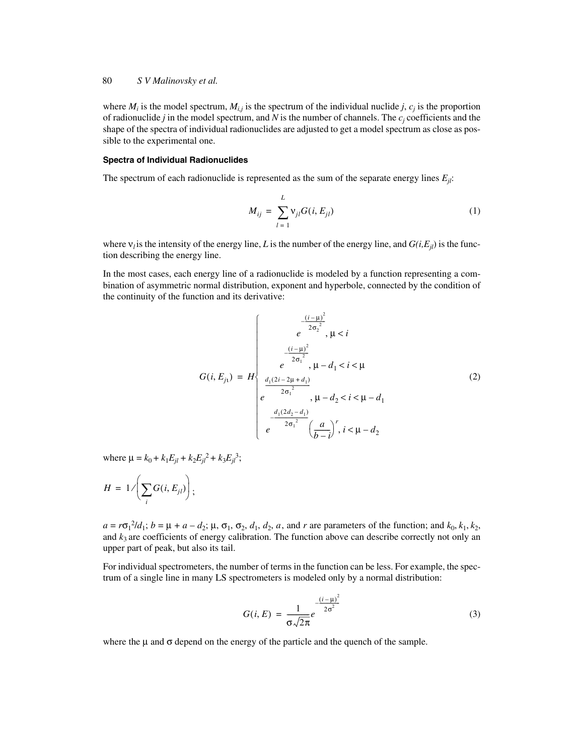### 80 *S V Malinovsky et al.*

where  $M_i$  is the model spectrum,  $M_{i,j}$  is the spectrum of the individual nuclide *j*,  $c_j$  is the proportion of radionuclide *j* in the model spectrum, and *N* is the number of channels. The *cj* coefficients and the shape of the spectra of individual radionuclides are adjusted to get a model spectrum as close as possible to the experimental one.

#### **Spectra of Individual Radionuclides**

The spectrum of each radionuclide is represented as the sum of the separate energy lines  $E_{il}$ :

$$
M_{ij} = \sum_{l=1}^{L} \mathbf{v}_{jl} G(i, E_{jl})
$$
 (1)

where  $v_l$  is the intensity of the energy line, *L* is the number of the energy line, and  $G(i, E_{il})$  is the function describing the energy line.

In the most cases, each energy line of a radionuclide is modeled by a function representing a combination of asymmetric normal distribution, exponent and hyperbole, connected by the condition of the continuity of the function and its derivative:

$$
G(i, E_{j_1}) = H \begin{cases} e^{-\frac{(i-\mu)^2}{2\sigma_2^2}}, & \mu < i \\ e^{-\frac{(i-\mu)^2}{2\sigma_1^2}}, & \mu < i < \mu \\ \frac{d_1(2i - 2\mu + d_1)}{2\sigma_1^2}, & \mu - d_2 < i < \mu - d_1 \\ e^{-\frac{d_1(2d_2 - d_1)}{2\sigma_1^2}}, & \mu - d_2 < i < \mu - d_2 \end{cases}
$$
(2)

where  $\mu = k_0 + k_1 E_{jl} + k_2 E_{jl}^2 + k_3 E_{jl}^3$ ;

$$
H = 1/\left(\sum_i G(i, E_{jl})\right);
$$

 $a = r\sigma_1^2/d_1$ ;  $b = \mu + a - d_2$ ;  $\mu$ ,  $\sigma_1$ ,  $\sigma_2$ ,  $d_1$ ,  $d_2$ ,  $a$ , and  $r$  are parameters of the function; and  $k_0$ ,  $k_1$ ,  $k_2$ , and  $k_3$  are coefficients of energy calibration. The function above can describe correctly not only an upper part of peak, but also its tail.

For individual spectrometers, the number of terms in the function can be less. For example, the spectrum of a single line in many LS spectrometers is modeled only by a normal distribution:

$$
G(i, E) = \frac{1}{\sigma \sqrt{2\pi}} e^{-\frac{(i - \mu)^2}{2\sigma^2}}
$$
(3)

where the  $\mu$  and  $\sigma$  depend on the energy of the particle and the quench of the sample.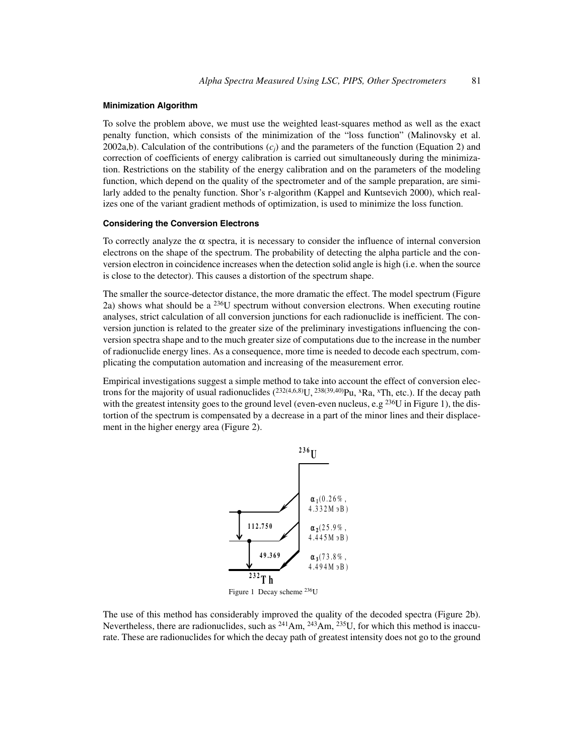### **Minimization Algorithm**

To solve the problem above, we must use the weighted least-squares method as well as the exact penalty function, which consists of the minimization of the "loss function" (Malinovsky et al. 2002a,b). Calculation of the contributions  $(c_j)$  and the parameters of the function (Equation 2) and correction of coefficients of energy calibration is carried out simultaneously during the minimization. Restrictions on the stability of the energy calibration and on the parameters of the modeling function, which depend on the quality of the spectrometer and of the sample preparation, are similarly added to the penalty function. Shor's r-algorithm (Kappel and Kuntsevich 2000), which realizes one of the variant gradient methods of optimization, is used to minimize the loss function.

#### **Considering the Conversion Electrons**

To correctly analyze the  $\alpha$  spectra, it is necessary to consider the influence of internal conversion electrons on the shape of the spectrum. The probability of detecting the alpha particle and the conversion electron in coincidence increases when the detection solid angle is high (i.e. when the source is close to the detector). This causes a distortion of the spectrum shape.

The smaller the source-detector distance, the more dramatic the effect. The model spectrum (Figure 2a) shows what should be a  $236U$  spectrum without conversion electrons. When executing routine analyses, strict calculation of all conversion junctions for each radionuclide is inefficient. The conversion junction is related to the greater size of the preliminary investigations influencing the conversion spectra shape and to the much greater size of computations due to the increase in the number of radionuclide energy lines. As a consequence, more time is needed to decode each spectrum, complicating the computation automation and increasing of the measurement error.

Empirical investigations suggest a simple method to take into account the effect of conversion electrons for the majority of usual radionuclides  $(^{232(4,6,8)}U,^{238(39,40)}Pu, ^{x}Ra, ^{x}Th, etc.).$  If the decay path with the greatest intensity goes to the ground level (even-even nucleus, e.g<sup>236</sup>U in Figure 1), the distortion of the spectrum is compensated by a decrease in a part of the minor lines and their displacement in the higher energy area (Figure 2).



The use of this method has considerably improved the quality of the decoded spectra (Figure 2b). Nevertheless, there are radionuclides, such as  $^{241}$ Am,  $^{243}$ Am,  $^{235}$ U, for which this method is inaccurate. These are radionuclides for which the decay path of greatest intensity does not go to the ground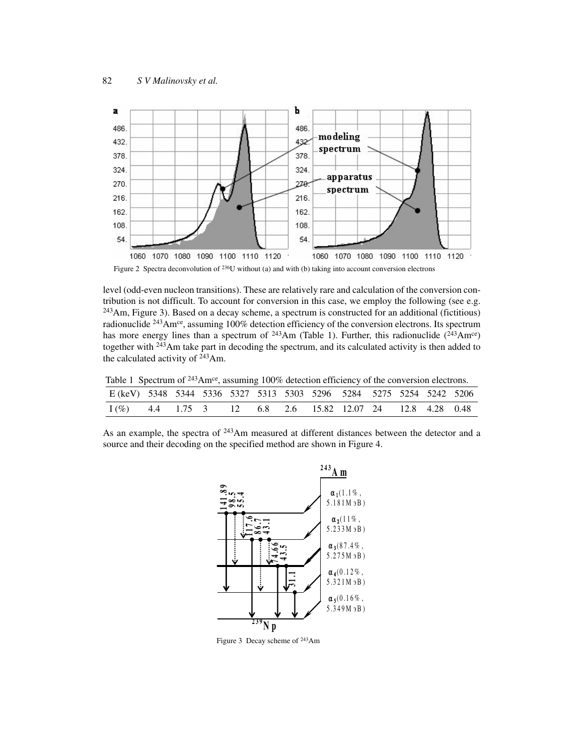

Figure 2 Spectra deconvolution of <sup>236</sup>U without (a) and with (b) taking into account conversion electrons

level (odd-even nucleon transitions). These are relatively rare and calculation of the conversion contribution is not difficult. To account for conversion in this case, we employ the following (see e.g.  $243$ Am, Figure 3). Based on a decay scheme, a spectrum is constructed for an additional (fictitious) radionuclide  $^{243}$ Am<sup>ce</sup>, assuming 100% detection efficiency of the conversion electrons. Its spectrum has more energy lines than a spectrum of  $^{243}Am$  (Table 1). Further, this radionuclide  $(^{243}Am^{ce})$ together with 243Am take part in decoding the spectrum, and its calculated activity is then added to the calculated activity of 243Am.

Table 1 Spectrum of  $243$ Am<sup>ce</sup>, assuming 100% detection efficiency of the conversion electrons.

| E (keV) 5348 5344 5336 5327 5313 5303 5296 5284 5275 5254 5242 5206 |  |  |  |  |  |  |
|---------------------------------------------------------------------|--|--|--|--|--|--|
| $I(\%)$ 4.4 1.75 3 12 6.8 2.6 15.82 12.07 24 12.8 4.28 0.48         |  |  |  |  |  |  |

As an example, the spectra of <sup>243</sup>Am measured at different distances between the detector and a source and their decoding on the specified method are shown in Figure 4.



Figure 3 Decay scheme of 243Am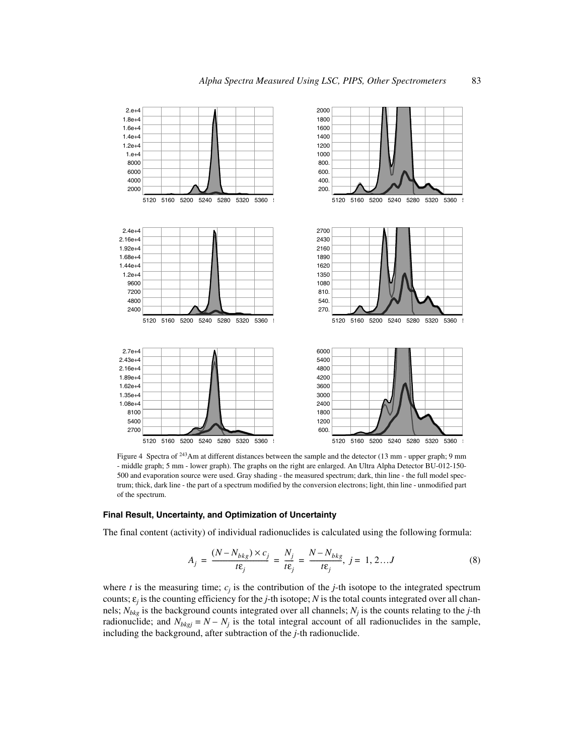

Figure 4 Spectra of 243Am at different distances between the sample and the detector (13 mm - upper graph; 9 mm - middle graph; 5 mm - lower graph). The graphs on the right are enlarged. An Ultra Alpha Detector BU-012-150- 500 and evaporation source were used. Gray shading - the measured spectrum; dark, thin line - the full model spectrum; thick, dark line - the part of a spectrum modified by the conversion electrons; light, thin line - unmodified part of the spectrum.

## **Final Result, Uncertainty, and Optimization of Uncertainty**

The final content (activity) of individual radionuclides is calculated using the following formula:

$$
A_j = \frac{(N - N_{bkg}) \times c_j}{t\epsilon_j} = \frac{N_j}{t\epsilon_j} = \frac{N - N_{bkg}}{t\epsilon_j}, j = 1, 2...J
$$
 (8)

where  $t$  is the measuring time;  $c_j$  is the contribution of the  $j$ -th isotope to the integrated spectrum counts;  $\varepsilon_j$  is the counting efficiency for the *j*-th isotope; *N* is the total counts integrated over all channels; *Nbkg* is the background counts integrated over all channels; *Nj* is the counts relating to the *j-*th radionuclide; and  $N_{bkgj} = N - N_j$  is the total integral account of all radionuclides in the sample, including the background, after subtraction of the *j-*th radionuclide.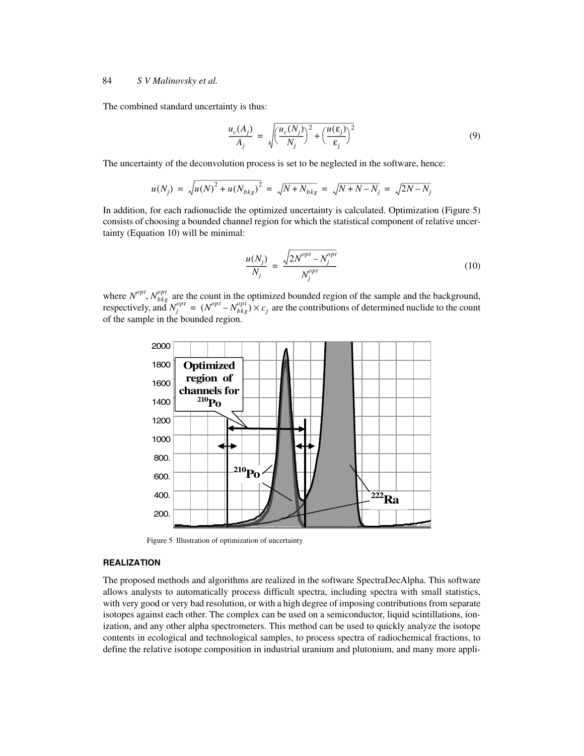#### 84 *S V Malinovsky et al.*

The combined standard uncertainty is thus:

$$
\frac{u_c(A_j)}{A_j} = \sqrt{\left(\frac{u_c(N_j)}{N_j}\right)^2 + \left(\frac{u(\epsilon_j)}{\epsilon_j}\right)^2} \tag{9}
$$

The uncertainty of the deconvolution process is set to be neglected in the software, hence:

$$
u(N_j) = \sqrt{u(N)^2 + u(N_{bkg})^2} = \sqrt{N + N_{bkg}} = \sqrt{N + N - N_j} = \sqrt{2N - N_j}
$$

In addition, for each radionuclide the optimized uncertainty is calculated. Optimization (Figure 5) consists of choosing a bounded channel region for which the statistical component of relative uncertainty (Equation 10) will be minimal:

$$
\frac{u(N_j)}{N_j} = \frac{\sqrt{2N^{opt} - N_j^{opt}}}{N_j^{opt}}
$$
\n(10)

where  $N^{opt}$ ,  $N^{opt}_{bkg}$  are the count in the optimized bounded region of the sample and the background, respectively, and  $N_i^{\rho\mu} = (N_{\rho\mu}^{\rho\mu} - N_{\rho\mu}^{\rho\mu}) \times c_i$  are the contributions of determined nuclide to the count of the sample in the bounded region.  $N^{opt}$ ,  $N_{bkg}^{opt}$  $N_j^{opt} = (N^{opt} - N_{bkg}^{opt}) \times c_j$ 



Figure 5 Illustration of optimization of uncertainty

## **REALIZATION**

The proposed methods and algorithms are realized in the software SpectraDecAlpha. This software allows analysts to automatically process difficult spectra, including spectra with small statistics, with very good or very bad resolution, or with a high degree of imposing contributions from separate isotopes against each other. The complex can be used on a semiconductor, liquid scintillations, ionization, and any other alpha spectrometers. This method can be used to quickly analyze the isotope contents in ecological and technological samples, to process spectra of radiochemical fractions, to define the relative isotope composition in industrial uranium and plutonium, and many more appli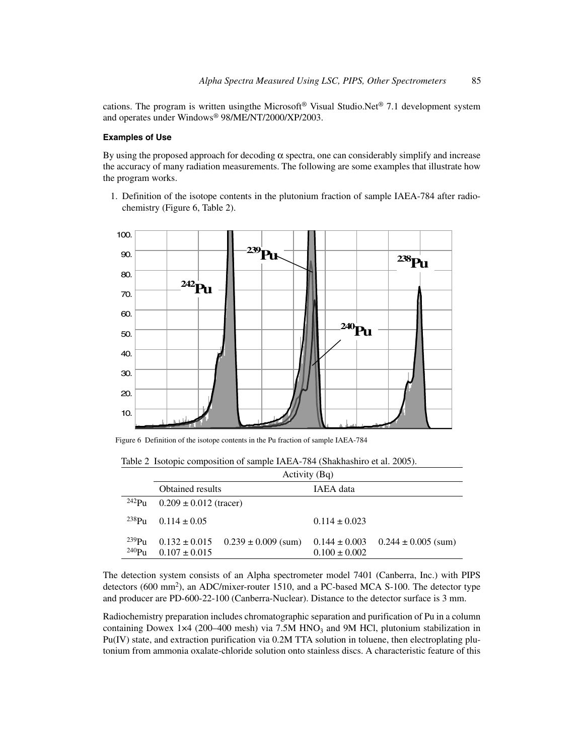cations. The program is written using the Microsoft<sup>®</sup> Visual Studio.Net<sup>®</sup> 7.1 development system and operates under Windows® 98/ME/NT/2000/XP/2003.

### **Examples of Use**

By using the proposed approach for decoding  $\alpha$  spectra, one can considerably simplify and increase the accuracy of many radiation measurements. The following are some examples that illustrate how the program works.

1. Definition of the isotope contents in the plutonium fraction of sample IAEA-784 after radiochemistry (Figure 6, Table 2).



Figure 6 Definition of the isotope contents in the Pu fraction of sample IAEA-784

Table 2 Isotopic composition of sample IAEA-784 (Shakhashiro et al. 2005).

|                                 | Activity (Bq)                          |                         |                                        |                         |  |  |
|---------------------------------|----------------------------------------|-------------------------|----------------------------------------|-------------------------|--|--|
|                                 | <b>Obtained results</b>                |                         | IAEA data                              |                         |  |  |
| $^{242}P_{11}$                  | $0.209 \pm 0.012$ (tracer)             |                         |                                        |                         |  |  |
| $238P_{11}$                     | $0.114 \pm 0.05$                       |                         | $0.114 \pm 0.023$                      |                         |  |  |
| $^{239}Pu$<br>240P <sub>U</sub> | $0.132 \pm 0.015$<br>$0.107 \pm 0.015$ | $0.239 \pm 0.009$ (sum) | $0.144 \pm 0.003$<br>$0.100 \pm 0.002$ | $0.244 \pm 0.005$ (sum) |  |  |

The detection system consists of an Alpha spectrometer model 7401 (Canberra, Inc.) with PIPS detectors (600 mm<sup>2</sup>), an ADC/mixer-router 1510, and a PC-based MCA S-100. The detector type and producer are PD-600-22-100 (Canberra-Nuclear). Distance to the detector surface is 3 mm.

Radiochemistry preparation includes chromatographic separation and purification of Pu in a column containing Dowex 1×4 (200–400 mesh) via 7.5M HNO<sub>3</sub> and 9M HCl, plutonium stabilization in Pu(IV) state, and extraction purification via 0.2M TTA solution in toluene, then electroplating plutonium from ammonia oxalate-chloride solution onto stainless discs. A characteristic feature of this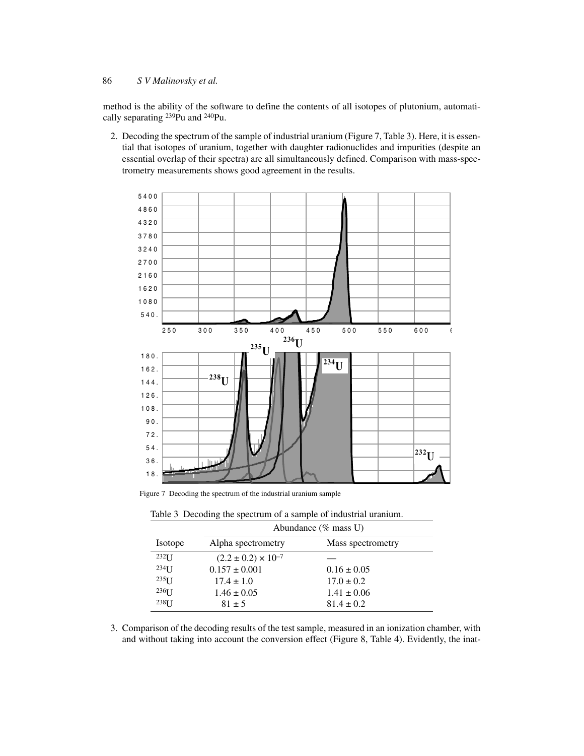### 86 *S V Malinovsky et al.*

method is the ability of the software to define the contents of all isotopes of plutonium, automatically separating 239Pu and 240Pu.

2. Decoding the spectrum of the sample of industrial uranium (Figure 7, Table 3). Here, it is essential that isotopes of uranium, together with daughter radionuclides and impurities (despite an essential overlap of their spectra) are all simultaneously defined. Comparison with mass-spectrometry measurements shows good agreement in the results.



Figure 7 Decoding the spectrum of the industrial uranium sample

|                   | Abundance $(\%$ mass U)        |                   |  |  |  |  |
|-------------------|--------------------------------|-------------------|--|--|--|--|
| Isotope           | Alpha spectrometry             | Mass spectrometry |  |  |  |  |
| $232$ [ J         | $(2.2 \pm 0.2) \times 10^{-7}$ |                   |  |  |  |  |
| $234$ [ J         | $0.157 \pm 0.001$              | $0.16 \pm 0.05$   |  |  |  |  |
| $235$ []          | $17.4 \pm 1.0$                 | $17.0 \pm 0.2$    |  |  |  |  |
| $236$ [ ]         | $1.46 \pm 0.05$                | $1.41 \pm 0.06$   |  |  |  |  |
| 238 <sub>IJ</sub> | $81 \pm 5$                     | $81.4 \pm 0.2$    |  |  |  |  |

Table 3 Decoding the spectrum of a sample of industrial uranium.

3. Comparison of the decoding results of the test sample, measured in an ionization chamber, with and without taking into account the conversion effect (Figure 8, Table 4). Evidently, the inat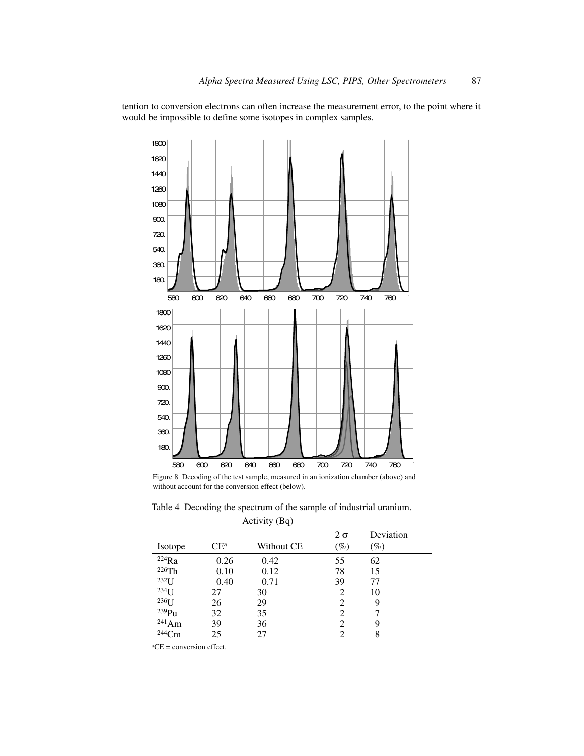tention to conversion electrons can often increase the measurement error, to the point where it would be impossible to define some isotopes in complex samples.



Figure 8 Decoding of the test sample, measured in an ionization chamber (above) and without account for the conversion effect (below).

|                   |        | Activity (Bq) |                |           |
|-------------------|--------|---------------|----------------|-----------|
|                   |        |               | $2\sigma$      | Deviation |
| Isotope           | $CE^a$ | Without CE    | $(\%)$         | $(\%)$    |
| 224Ra             | 0.26   | 0.42          | 55             | 62        |
| 226Th             | 0.10   | 0.12          | 78             | 15        |
| $232$ [ J         | 0.40   | 0.71          | 39             | 77        |
| $234$ [ ]         | 27     | 30            | 2              | 10        |
| 236 <sub>IJ</sub> | 26     | 29            | 2              | 9         |
| $239$ Pu          | 32     | 35            | $\overline{c}$ |           |
| $^{241}Am$        | 39     | 36            | 2              | 9         |
| $244$ Cm          | 25     |               | 2              | 8         |

Table 4 Decoding the spectrum of the sample of industrial uranium.

 $\overline{{}^aCE}$  = conversion effect.